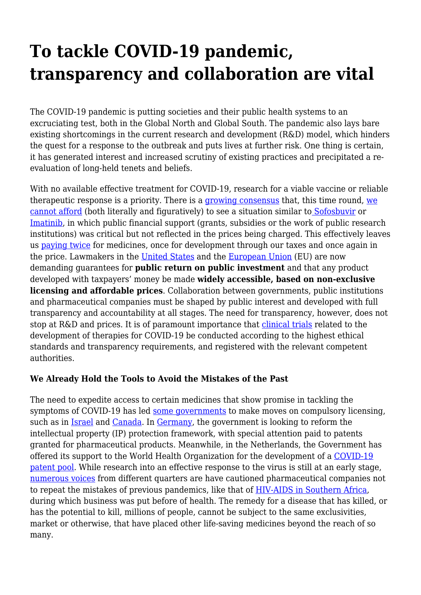## **To tackle COVID-19 pandemic, transparency and collaboration are vital**

The COVID-19 pandemic is putting societies and their public health systems to an excruciating test, both in the Global North and Global South. The pandemic also lays bare existing shortcomings in the current research and development (R&D) model, which hinders the quest for a response to the outbreak and puts lives at further risk. One thing is certain, it has generated interest and increased scrutiny of existing practices and precipitated a reevaluation of long-held tenets and beliefs.

With no available effective treatment for COVID-19, research for a viable vaccine or reliable therapeutic response is a priority. There is a [growing consensus](https://www.nytimes.com/2020/03/18/opinion/coronavirus-vaccine-cost.html) that, this time round, [we](https://www.nytimes.com/2020/03/18/opinion/coronavirus-vaccine-cost.html) [cannot afford](https://www.nytimes.com/2020/03/18/opinion/coronavirus-vaccine-cost.html) (both literally and figuratively) to see a situation similar t[o Sofosbuvir](https://www.keionline.org/27205) or [Imatinib,](https://www.techdirt.com/articles/20191101/08414243305/pharma-giant-fails-to-mention-18-years-that-us-government-helped-fund-key-patent-used-drug-that-has-generated-53-billion-sales.shtml) in which public financial support (grants, subsidies or the work of public research institutions) was critical but not reflected in the prices being charged. This effectively leaves us [paying twice](https://d3n8a8pro7vhmx.cloudfront.net/accesstomedicines/pages/19/attachments/original/1488745631/INFOGRAPHS_1_EN-01-02-compressor.png?1488745631) for medicines, once for development through our taxes and once again in the price. Lawmakers in the [United States](http://freepdfhosting.com/20bf1d75af.pdf) and the [European Union](https://haiweb.org/wp-content/uploads/2020/03/MEP-Covid-Letter-March-2020.pdf) (EU) are now demanding guarantees for **public return on public investment** and that any product developed with taxpayers' money be made **widely accessible, based on non-exclusive licensing and affordable prices**. Collaboration between governments, public institutions and pharmaceutical companies must be shaped by public interest and developed with full transparency and accountability at all stages. The need for transparency, however, does not stop at R&D and prices. It is of paramount importance that [clinical trials](https://988e032c-518c-4d3b-b8e1-0f903f16a792.filesusr.com/ugd/01f35d_8d18ad738c2f40f98e26ed5f46c788dd.pdf) related to the development of therapies for COVID-19 be conducted according to the highest ethical standards and transparency requirements, and registered with the relevant competent authorities.

## **We Already Hold the Tools to Avoid the Mistakes of the Past**

The need to expedite access to certain medicines that show promise in tackling the symptoms of COVID-19 has led [some governments](https://fortune.com/2020/04/02/coronavirus-crisis-suspension-drug-patents/) to make moves on compulsory licensing, such as in [Israel](https://medicineslawandpolicy.org/2020/03/covid-19-and-the-come-back-of-compulsory-licensing/) and [Canada.](http://theconversation.com/canadas-coronavirus-aid-package-guards-against-drug-shortages-with-compulsory-licensing-134974) In [Germany,](http://patentblog.kluweriplaw.com/2020/03/24/german-government-plans-possibilities-to-limit-patents-in-view-of-corona-pandemic/) the government is looking to reform the intellectual property (IP) protection framework, with special attention paid to patents granted for pharmaceutical products. Meanwhile, in the Netherlands, the Government has offered its support to the World Health Organization for the development of a [COVID-19](https://www.wemos.nl/en/the-netherlands-supports-a-global-covid-19-pool/) [patent pool.](https://www.wemos.nl/en/the-netherlands-supports-a-global-covid-19-pool/) While research into an effective response to the virus is still at an early stage, [numerous voices](https://www.ft.com/content/b69afd98-a8af-40d9-b520-4231d9cac68f) from different quarters are have cautioned pharmaceutical companies not to repeat the mistakes of previous pandemics, like that of [HIV-AIDS in Southern Africa](https://oxfamilibrary.openrepository.com/bitstream/handle/10546/620381/bn-access-to-medicines-south-africa-010201-en.pdf?sequence=1&isAllowed=y), during which business was put before of health. The remedy for a disease that has killed, or has the potential to kill, millions of people, cannot be subject to the same exclusivities, market or otherwise, that have placed other life-saving medicines beyond the reach of so many.